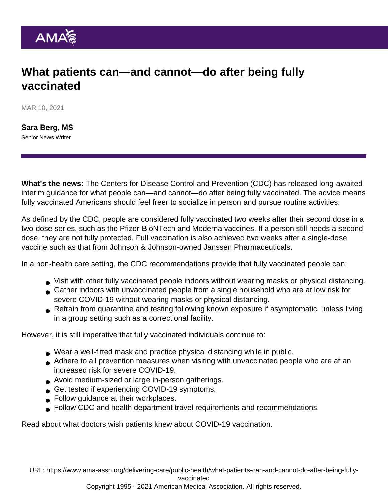## What patients can—and cannot—do after being fully vaccinated

MAR 10, 2021

[Sara Berg, MS](https://www.ama-assn.org/news-leadership-viewpoints/authors-news-leadership-viewpoints/sara-berg-ms) Senior News Writer

What's the news: The Centers for Disease Control and Prevention (CDC) has released long-awaited interim guidance for what people can—and cannot—do after being fully vaccinated. The advice means fully vaccinated Americans should feel freer to socialize in person and pursue routine activities.

As defined by the CDC, people are considered fully vaccinated two weeks after their second dose in a two-dose series, such as the Pfizer-BioNTech and Moderna vaccines. If a person still needs a second dose, they are not fully protected. Full vaccination is also achieved two weeks after a single-dose vaccine such as that from Johnson & Johnson-owned Janssen Pharmaceuticals.

In a non-health care setting, the CDC recommendations provide that fully vaccinated people can:

- Visit with other fully vaccinated people indoors without wearing masks or physical distancing.
- Gather indoors with unvaccinated people from a single household who are at low risk for severe COVID-19 without wearing masks or physical distancing.
- Refrain from quarantine and testing following known exposure if asymptomatic, unless living in a group setting such as a correctional facility.

However, it is still imperative that fully vaccinated individuals continue to:

- Wear a well-fitted mask and practice physical distancing while in public.
- Adhere to all prevention measures when visiting with unvaccinated people who are at an increased risk for severe COVID-19.
- Avoid medium-sized or large in-person gatherings.
- Get tested if experiencing COVID-19 symptoms.
- Follow guidance at their workplaces.
- Follow CDC and health department travel requirements and recommendations.

Read about [what doctors wish patients knew about COVID-19 vaccination.](https://www.ama-assn.org/delivering-care/public-health/what-doctors-wish-patients-knew-about-covid-19-vaccination)

URL: [https://www.ama-assn.org/delivering-care/public-health/what-patients-can-and-cannot-do-after-being-fully](https://www.ama-assn.org/delivering-care/public-health/what-patients-can-and-cannot-do-after-being-fully-vaccinated)[vaccinated](https://www.ama-assn.org/delivering-care/public-health/what-patients-can-and-cannot-do-after-being-fully-vaccinated)